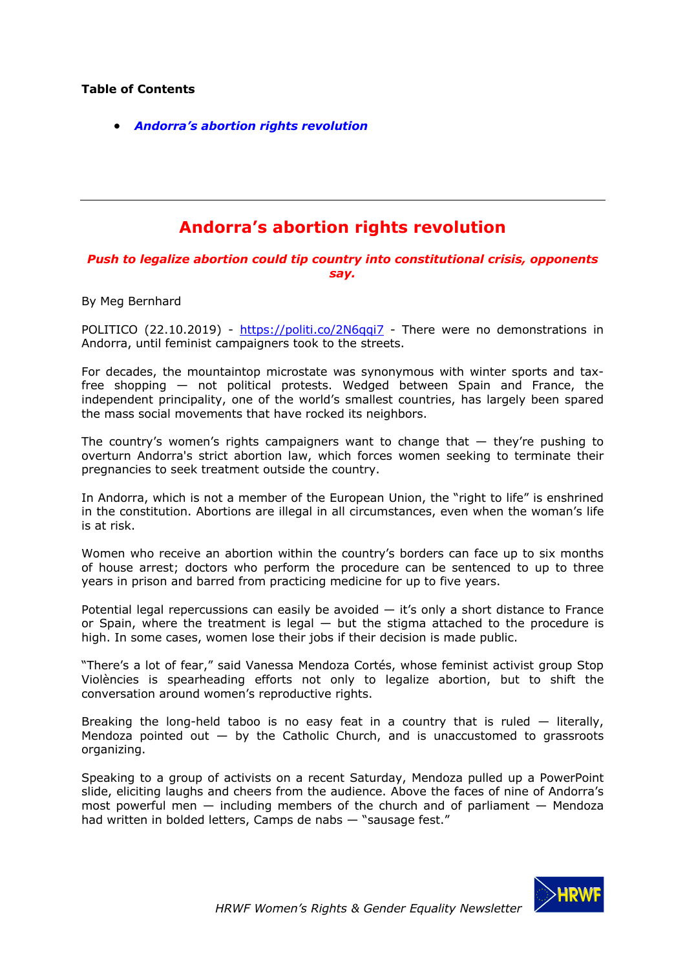## **Table of Contents**

• *Andorra's abortion rights revolution*

## **Andorra's abortion rights revolution**

*Push to legalize abortion could tip country into constitutional crisis, opponents say.*

By Meg Bernhard

POLITICO (22.10.2019) - https://politi.co/2N6qqi7 - There were no demonstrations in Andorra, until feminist campaigners took to the streets.

For decades, the mountaintop microstate was synonymous with winter sports and taxfree shopping — not political protests. Wedged between Spain and France, the independent principality, one of the world's smallest countries, has largely been spared the mass social movements that have rocked its neighbors.

The country's women's rights campaigners want to change that  $-$  they're pushing to overturn Andorra's strict abortion law, which forces women seeking to terminate their pregnancies to seek treatment outside the country.

In Andorra, which is not a member of the European Union, the "right to life" is enshrined in the constitution. Abortions are illegal in all circumstances, even when the woman's life is at risk.

Women who receive an abortion within the country's borders can face up to six months of house arrest; doctors who perform the procedure can be sentenced to up to three years in prison and barred from practicing medicine for up to five years.

Potential legal repercussions can easily be avoided  $-$  it's only a short distance to France or Spain, where the treatment is legal  $-$  but the stigma attached to the procedure is high. In some cases, women lose their jobs if their decision is made public.

"There's a lot of fear," said Vanessa Mendoza Cortés, whose feminist activist group Stop Violències is spearheading efforts not only to legalize abortion, but to shift the conversation around women's reproductive rights.

Breaking the long-held taboo is no easy feat in a country that is ruled  $-$  literally, Mendoza pointed out  $-$  by the Catholic Church, and is unaccustomed to grassroots organizing.

Speaking to a group of activists on a recent Saturday, Mendoza pulled up a PowerPoint slide, eliciting laughs and cheers from the audience. Above the faces of nine of Andorra's most powerful men  $-$  including members of the church and of parliament  $-$  Mendoza had written in bolded letters, Camps de nabs — "sausage fest."

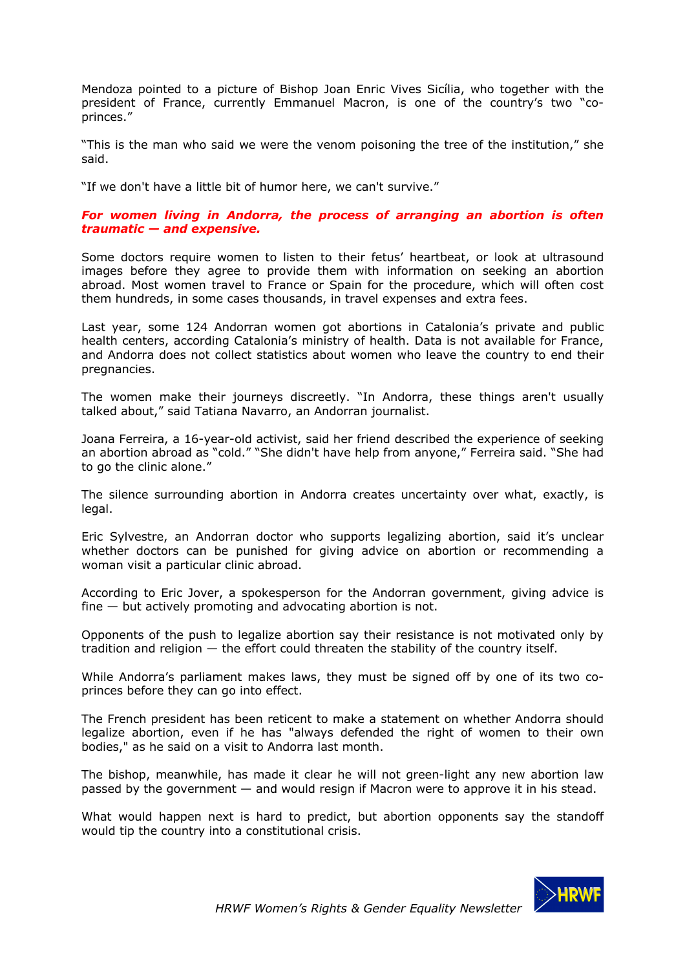Mendoza pointed to a picture of Bishop Joan Enric Vives Sicília, who together with the president of France, currently Emmanuel Macron, is one of the country's two "coprinces."

"This is the man who said we were the venom poisoning the tree of the institution," she said.

"If we don't have a little bit of humor here, we can't survive."

## *For women living in Andorra, the process of arranging an abortion is often traumatic — and expensive.*

Some doctors require women to listen to their fetus' heartbeat, or look at ultrasound images before they agree to provide them with information on seeking an abortion abroad. Most women travel to France or Spain for the procedure, which will often cost them hundreds, in some cases thousands, in travel expenses and extra fees.

Last year, some 124 Andorran women got abortions in Catalonia's private and public health centers, according Catalonia's ministry of health. Data is not available for France, and Andorra does not collect statistics about women who leave the country to end their pregnancies.

The women make their journeys discreetly. "In Andorra, these things aren't usually talked about," said Tatiana Navarro, an Andorran journalist.

Joana Ferreira, a 16-year-old activist, said her friend described the experience of seeking an abortion abroad as "cold." "She didn't have help from anyone," Ferreira said. "She had to go the clinic alone."

The silence surrounding abortion in Andorra creates uncertainty over what, exactly, is legal.

Eric Sylvestre, an Andorran doctor who supports legalizing abortion, said it's unclear whether doctors can be punished for giving advice on abortion or recommending a woman visit a particular clinic abroad.

According to Eric Jover, a spokesperson for the Andorran government, giving advice is fine — but actively promoting and advocating abortion is not.

Opponents of the push to legalize abortion say their resistance is not motivated only by tradition and religion — the effort could threaten the stability of the country itself.

While Andorra's parliament makes laws, they must be signed off by one of its two coprinces before they can go into effect.

The French president has been reticent to make a statement on whether Andorra should legalize abortion, even if he has "always defended the right of women to their own bodies," as he said on a visit to Andorra last month.

The bishop, meanwhile, has made it clear he will not green-light any new abortion law passed by the government — and would resign if Macron were to approve it in his stead.

What would happen next is hard to predict, but abortion opponents say the standoff would tip the country into a constitutional crisis.

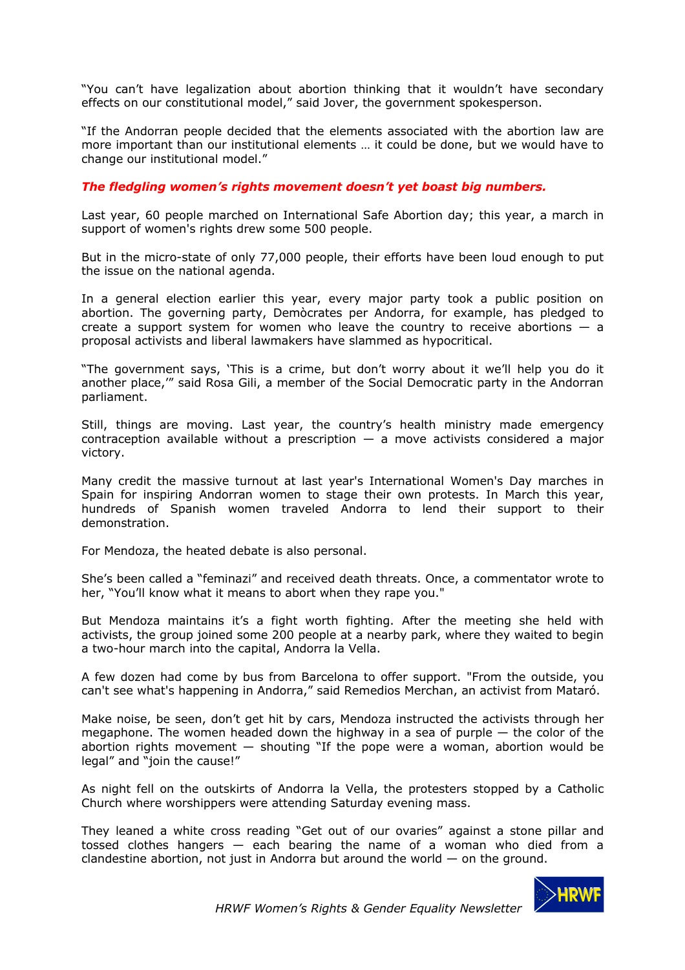"You can't have legalization about abortion thinking that it wouldn't have secondary effects on our constitutional model," said Jover, the government spokesperson.

"If the Andorran people decided that the elements associated with the abortion law are more important than our institutional elements … it could be done, but we would have to change our institutional model."

## *The fledgling women's rights movement doesn't yet boast big numbers.*

Last year, 60 people marched on International Safe Abortion day; this year, a march in support of women's rights drew some 500 people.

But in the micro-state of only 77,000 people, their efforts have been loud enough to put the issue on the national agenda.

In a general election earlier this year, every major party took a public position on abortion. The governing party, Demòcrates per Andorra, for example, has pledged to create a support system for women who leave the country to receive abortions  $-$  a proposal activists and liberal lawmakers have slammed as hypocritical.

"The government says, 'This is a crime, but don't worry about it we'll help you do it another place,'" said Rosa Gili, a member of the Social Democratic party in the Andorran parliament.

Still, things are moving. Last year, the country's health ministry made emergency contraception available without a prescription  $-$  a move activists considered a major victory.

Many credit the massive turnout at last year's International Women's Day marches in Spain for inspiring Andorran women to stage their own protests. In March this year, hundreds of Spanish women traveled Andorra to lend their support to their demonstration.

For Mendoza, the heated debate is also personal.

She's been called a "feminazi" and received death threats. Once, a commentator wrote to her, "You'll know what it means to abort when they rape you."

But Mendoza maintains it's a fight worth fighting. After the meeting she held with activists, the group joined some 200 people at a nearby park, where they waited to begin a two-hour march into the capital, Andorra la Vella.

A few dozen had come by bus from Barcelona to offer support. "From the outside, you can't see what's happening in Andorra," said Remedios Merchan, an activist from Mataró.

Make noise, be seen, don't get hit by cars, Mendoza instructed the activists through her megaphone. The women headed down the highway in a sea of purple  $-$  the color of the abortion rights movement  $-$  shouting "If the pope were a woman, abortion would be legal" and "join the cause!"

As night fell on the outskirts of Andorra la Vella, the protesters stopped by a Catholic Church where worshippers were attending Saturday evening mass.

They leaned a white cross reading "Get out of our ovaries" against a stone pillar and tossed clothes hangers — each bearing the name of a woman who died from a clandestine abortion, not just in Andorra but around the world  $-$  on the ground.